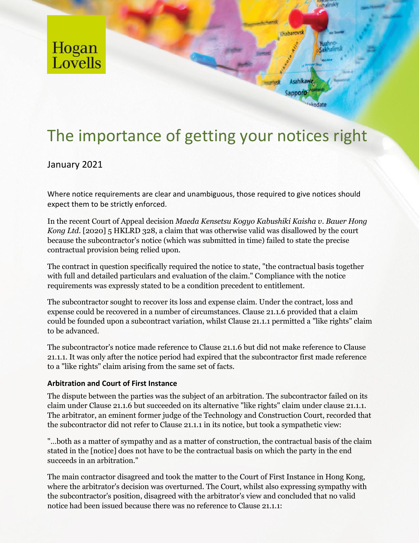

# The importance of getting your notices right

## January 2021

Where notice requirements are clear and unambiguous, those required to give notices should expect them to be strictly enforced.

In the recent Court of Appeal decision *Maeda Kensetsu Kogyo Kabushiki Kaisha v. Bauer Hong Kong Ltd.* [2020] 5 HKLRD 328, a claim that was otherwise valid was disallowed by the court because the subcontractor's notice (which was submitted in time) failed to state the precise contractual provision being relied upon.

The contract in question specifically required the notice to state, "the contractual basis together with full and detailed particulars and evaluation of the claim." Compliance with the notice requirements was expressly stated to be a condition precedent to entitlement.

The subcontractor sought to recover its loss and expense claim. Under the contract, loss and expense could be recovered in a number of circumstances. Clause 21.1.6 provided that a claim could be founded upon a subcontract variation, whilst Clause 21.1.1 permitted a "like rights" claim to be advanced.

The subcontractor's notice made reference to Clause 21.1.6 but did not make reference to Clause 21.1.1. It was only after the notice period had expired that the subcontractor first made reference to a "like rights" claim arising from the same set of facts.

## **Arbitration and Court of First Instance**

The dispute between the parties was the subject of an arbitration. The subcontractor failed on its claim under Clause 21.1.6 but succeeded on its alternative "like rights" claim under clause 21.1.1. The arbitrator, an eminent former judge of the Technology and Construction Court, recorded that the subcontractor did not refer to Clause 21.1.1 in its notice, but took a sympathetic view:

"…both as a matter of sympathy and as a matter of construction, the contractual basis of the claim stated in the [notice] does not have to be the contractual basis on which the party in the end succeeds in an arbitration."

The main contractor disagreed and took the matter to the Court of First Instance in Hong Kong, where the arbitrator's decision was overturned. The Court, whilst also expressing sympathy with the subcontractor's position, disagreed with the arbitrator's view and concluded that no valid notice had been issued because there was no reference to Clause 21.1.1: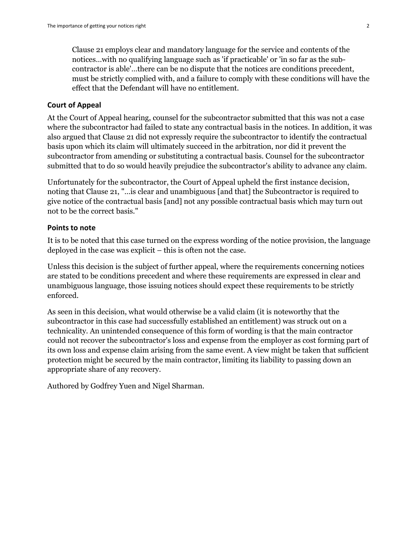Clause 21 employs clear and mandatory language for the service and contents of the notices…with no qualifying language such as 'if practicable' or 'in so far as the subcontractor is able'…there can be no dispute that the notices are conditions precedent, must be strictly complied with, and a failure to comply with these conditions will have the effect that the Defendant will have no entitlement.

#### **Court of Appeal**

At the Court of Appeal hearing, counsel for the subcontractor submitted that this was not a case where the subcontractor had failed to state any contractual basis in the notices. In addition, it was also argued that Clause 21 did not expressly require the subcontractor to identify the contractual basis upon which its claim will ultimately succeed in the arbitration, nor did it prevent the subcontractor from amending or substituting a contractual basis. Counsel for the subcontractor submitted that to do so would heavily prejudice the subcontractor's ability to advance any claim.

Unfortunately for the subcontractor, the Court of Appeal upheld the first instance decision, noting that Clause 21, "…is clear and unambiguous [and that] the Subcontractor is required to give notice of the contractual basis [and] not any possible contractual basis which may turn out not to be the correct basis."

### **Points to note**

It is to be noted that this case turned on the express wording of the notice provision, the language deployed in the case was explicit – this is often not the case.

Unless this decision is the subject of further appeal, where the requirements concerning notices are stated to be conditions precedent and where these requirements are expressed in clear and unambiguous language, those issuing notices should expect these requirements to be strictly enforced.

As seen in this decision, what would otherwise be a valid claim (it is noteworthy that the subcontractor in this case had successfully established an entitlement) was struck out on a technicality. An unintended consequence of this form of wording is that the main contractor could not recover the subcontractor's loss and expense from the employer as cost forming part of its own loss and expense claim arising from the same event. A view might be taken that sufficient protection might be secured by the main contractor, limiting its liability to passing down an appropriate share of any recovery.

Authored by Godfrey Yuen and Nigel Sharman.